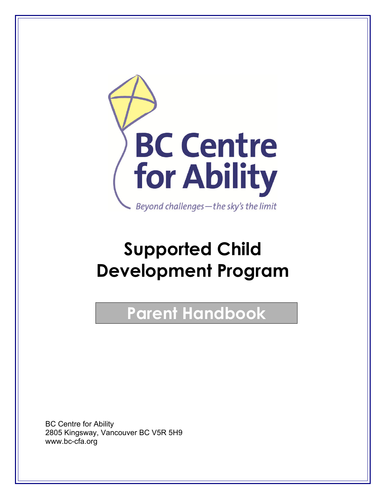

# **Supported Child Development Program**

# **Parent Handbook**

 BC Centre for Ability 2805 Kingsway, Vancouver BC V5R 5H9 www.bc-cfa.org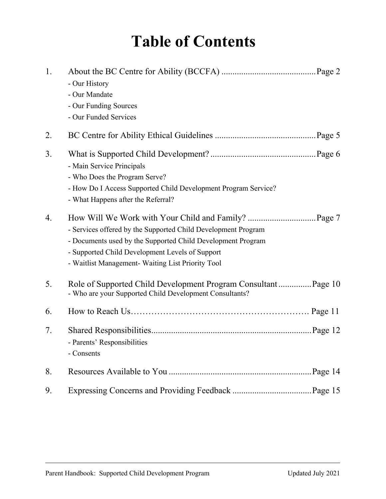# **Table of Contents**

| 1. | - Our History<br>- Our Mandate<br>- Our Funding Sources<br>- Our Funded Services                                                                                                                                                     |
|----|--------------------------------------------------------------------------------------------------------------------------------------------------------------------------------------------------------------------------------------|
| 2. |                                                                                                                                                                                                                                      |
| 3. | - Main Service Principals<br>- Who Does the Program Serve?<br>- How Do I Access Supported Child Development Program Service?<br>- What Happens after the Referral?                                                                   |
| 4. | - Services offered by the Supported Child Development Program<br>- Documents used by the Supported Child Development Program<br>- Supported Child Development Levels of Support<br>- Waitlist Management- Waiting List Priority Tool |
| 5. | Role of Supported Child Development Program Consultant Page 10<br>- Who are your Supported Child Development Consultants?                                                                                                            |
| 6. |                                                                                                                                                                                                                                      |
| 7. | - Parents' Responsibilities<br>- Consents                                                                                                                                                                                            |
| 8. |                                                                                                                                                                                                                                      |
| 9. |                                                                                                                                                                                                                                      |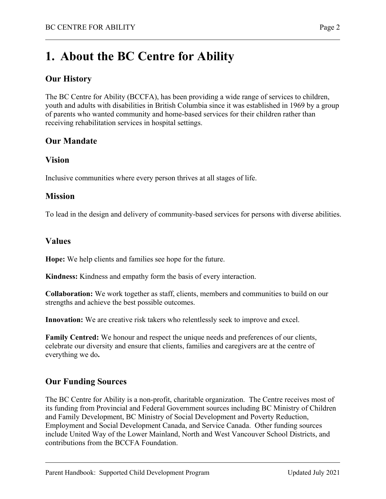# **1. About the BC Centre for Ability**

### **Our History**

The BC Centre for Ability (BCCFA), has been providing a wide range of services to children, youth and adults with disabilities in British Columbia since it was established in 1969 by a group of parents who wanted community and home-based services for their children rather than receiving rehabilitation services in hospital settings.

### **Our Mandate**

#### **Vision**

Inclusive communities where every person thrives at all stages of life.

#### **Mission**

To lead in the design and delivery of community-based services for persons with diverse abilities.

#### **Values**

**Hope:** We help clients and families see hope for the future.

**Kindness:** Kindness and empathy form the basis of every interaction.

**Collaboration:** We work together as staff, clients, members and communities to build on our strengths and achieve the best possible outcomes.

**Innovation:** We are creative risk takers who relentlessly seek to improve and excel.

**Family Centred:** We honour and respect the unique needs and preferences of our clients, celebrate our diversity and ensure that clients, families and caregivers are at the centre of everything we do**.** 

### **Our Funding Sources**

The BC Centre for Ability is a non-profit, charitable organization. The Centre receives most of its funding from Provincial and Federal Government sources including BC Ministry of Children and Family Development, BC Ministry of Social Development and Poverty Reduction, Employment and Social Development Canada, and Service Canada. Other funding sources include United Way of the Lower Mainland, North and West Vancouver School Districts, and contributions from the BCCFA Foundation.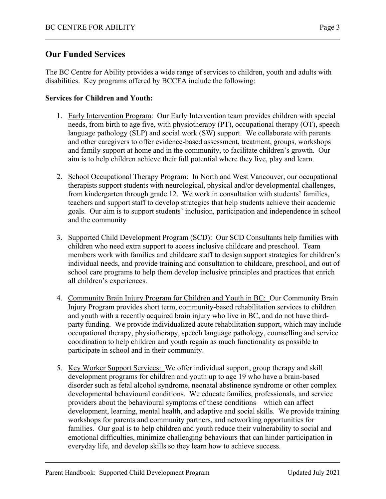### **Our Funded Services**

The BC Centre for Ability provides a wide range of services to children, youth and adults with disabilities. Key programs offered by BCCFA include the following:

#### **Services for Children and Youth:**

- 1. Early Intervention Program: Our Early Intervention team provides children with special needs, from birth to age five, with physiotherapy (PT), occupational therapy (OT), speech language pathology (SLP) and social work (SW) support. We collaborate with parents and other caregivers to offer evidence-based assessment, treatment, groups, workshops and family support at home and in the community, to facilitate children's growth. Our aim is to help children achieve their full potential where they live, play and learn.
- 2. School Occupational Therapy Program: In North and West Vancouver, our occupational therapists support students with neurological, physical and/or developmental challenges, from kindergarten through grade 12. We work in consultation with students' families, teachers and support staff to develop strategies that help students achieve their academic goals. Our aim is to support students' inclusion, participation and independence in school and the community
- 3. Supported Child Development Program (SCD): Our SCD Consultants help families with children who need extra support to access inclusive childcare and preschool. Team members work with families and childcare staff to design support strategies for children's individual needs, and provide training and consultation to childcare, preschool, and out of school care programs to help them develop inclusive principles and practices that enrich all children's experiences.
- 4. Community Brain Injury Program for Children and Youth in BC: Our Community Brain Injury Program provides short term, community-based rehabilitation services to children and youth with a recently acquired brain injury who live in BC, and do not have thirdparty funding. We provide individualized acute rehabilitation support, which may include occupational therapy, physiotherapy, speech language pathology, counselling and service coordination to help children and youth regain as much functionality as possible to participate in school and in their community.
- 5. Key Worker Support Services: We offer individual support, group therapy and skill development programs for children and youth up to age 19 who have a brain-based disorder such as fetal alcohol syndrome, neonatal abstinence syndrome or other complex developmental behavioural conditions. We educate families, professionals, and service providers about the behavioural symptoms of these conditions – which can affect development, learning, mental health, and adaptive and social skills. We provide training workshops for parents and community partners, and networking opportunities for families. Our goal is to help children and youth reduce their vulnerability to social and emotional difficulties, minimize challenging behaviours that can hinder participation in everyday life, and develop skills so they learn how to achieve success.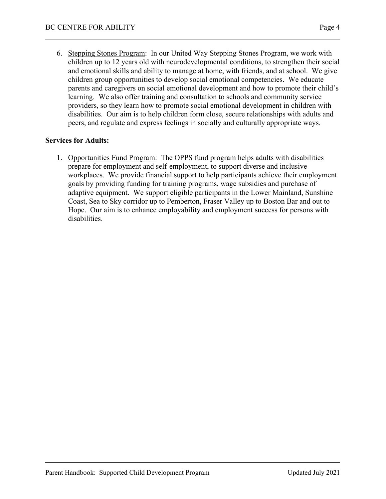6. Stepping Stones Program: In our United Way Stepping Stones Program, we work with children up to 12 years old with neurodevelopmental conditions, to strengthen their social and emotional skills and ability to manage at home, with friends, and at school. We give children group opportunities to develop social emotional competencies. We educate parents and caregivers on social emotional development and how to promote their child's learning. We also offer training and consultation to schools and community service providers, so they learn how to promote social emotional development in children with disabilities. Our aim is to help children form close, secure relationships with adults and

#### **Services for Adults:**

1. Opportunities Fund Program: The OPPS fund program helps adults with disabilities prepare for employment and self-employment, to support diverse and inclusive workplaces. We provide financial support to help participants achieve their employment goals by providing funding for training programs, wage subsidies and purchase of adaptive equipment. We support eligible participants in the Lower Mainland, Sunshine Coast, Sea to Sky corridor up to Pemberton, Fraser Valley up to Boston Bar and out to Hope. Our aim is to enhance employability and employment success for persons with disabilities.

peers, and regulate and express feelings in socially and culturally appropriate ways.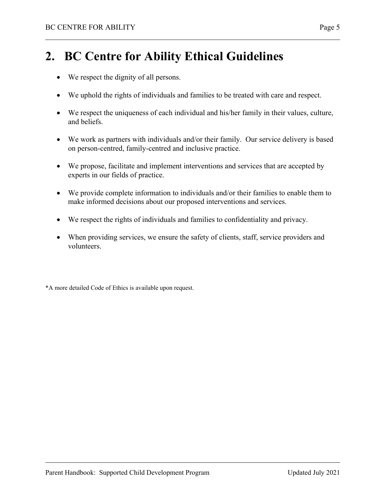# **2. BC Centre for Ability Ethical Guidelines**

- We respect the dignity of all persons.
- We uphold the rights of individuals and families to be treated with care and respect.
- We respect the uniqueness of each individual and his/her family in their values, culture, and beliefs.
- We work as partners with individuals and/or their family. Our service delivery is based on person-centred, family-centred and inclusive practice.
- We propose, facilitate and implement interventions and services that are accepted by experts in our fields of practice.
- We provide complete information to individuals and/or their families to enable them to make informed decisions about our proposed interventions and services.
- We respect the rights of individuals and families to confidentiality and privacy.
- When providing services, we ensure the safety of clients, staff, service providers and volunteers.

\*A more detailed Code of Ethics is available upon request.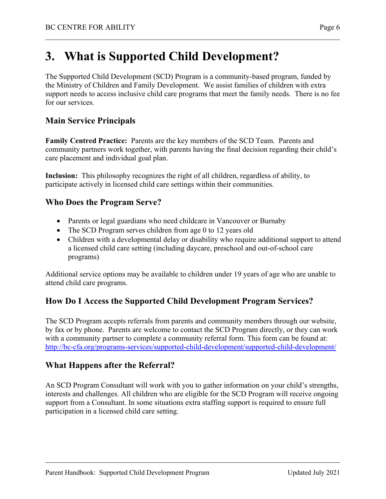# **3. What is Supported Child Development?**

The Supported Child Development (SCD) Program is a community-based program, funded by the Ministry of Children and Family Development. We assist families of children with extra support needs to access inclusive child care programs that meet the family needs. There is no fee for our services.

### **Main Service Principals**

**Family Centred Practice:** Parents are the key members of the SCD Team. Parents and community partners work together, with parents having the final decision regarding their child's care placement and individual goal plan.

**Inclusion:** This philosophy recognizes the right of all children, regardless of ability, to participate actively in licensed child care settings within their communities.

### **Who Does the Program Serve?**

- Parents or legal guardians who need childcare in Vancouver or Burnaby
- The SCD Program serves children from age 0 to 12 years old
- Children with a developmental delay or disability who require additional support to attend a licensed child care setting (including daycare, preschool and out-of-school care programs)

Additional service options may be available to children under 19 years of age who are unable to attend child care programs.

### **How Do I Access the Supported Child Development Program Services?**

The SCD Program accepts referrals from parents and community members through our website, by fax or by phone. Parents are welcome to contact the SCD Program directly, or they can work with a community partner to complete a community referral form. This form can be found at: http://bc-cfa.org/programs-services/supported-child-development/supported-child-development/

### **What Happens after the Referral?**

An SCD Program Consultant will work with you to gather information on your child's strengths, interests and challenges. All children who are eligible for the SCD Program will receive ongoing support from a Consultant. In some situations extra staffing support is required to ensure full participation in a licensed child care setting.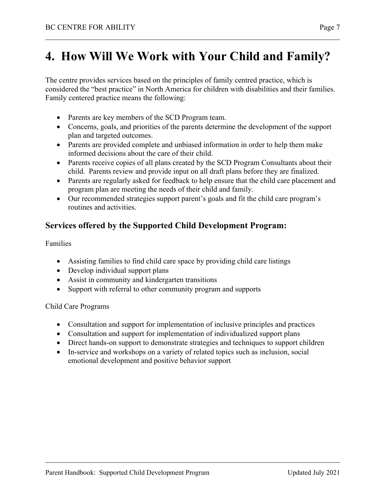# **4. How Will We Work with Your Child and Family?**

The centre provides services based on the principles of family centred practice, which is considered the "best practice" in North America for children with disabilities and their families. Family centered practice means the following:

- Parents are key members of the SCD Program team.
- Concerns, goals, and priorities of the parents determine the development of the support plan and targeted outcomes.
- Parents are provided complete and unbiased information in order to help them make informed decisions about the care of their child.
- Parents receive copies of all plans created by the SCD Program Consultants about their child. Parents review and provide input on all draft plans before they are finalized.
- Parents are regularly asked for feedback to help ensure that the child care placement and program plan are meeting the needs of their child and family.
- Our recommended strategies support parent's goals and fit the child care program's routines and activities.

### **Services offered by the Supported Child Development Program:**

Families

- Assisting families to find child care space by providing child care listings
- Develop individual support plans
- Assist in community and kindergarten transitions
- Support with referral to other community program and supports

Child Care Programs

- Consultation and support for implementation of inclusive principles and practices
- Consultation and support for implementation of individualized support plans
- Direct hands-on support to demonstrate strategies and techniques to support children
- In-service and workshops on a variety of related topics such as inclusion, social emotional development and positive behavior support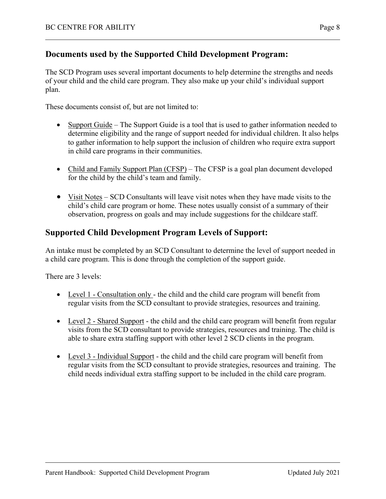### **Documents used by the Supported Child Development Program:**

The SCD Program uses several important documents to help determine the strengths and needs of your child and the child care program. They also make up your child's individual support plan.

These documents consist of, but are not limited to:

- Support Guide The Support Guide is a tool that is used to gather information needed to determine eligibility and the range of support needed for individual children. It also helps to gather information to help support the inclusion of children who require extra support in child care programs in their communities.
- Child and Family Support Plan (CFSP) The CFSP is a goal plan document developed for the child by the child's team and family.
- Visit Notes SCD Consultants will leave visit notes when they have made visits to the child's child care program or home. These notes usually consist of a summary of their observation, progress on goals and may include suggestions for the childcare staff.

### **Supported Child Development Program Levels of Support:**

An intake must be completed by an SCD Consultant to determine the level of support needed in a child care program. This is done through the completion of the support guide.

There are 3 levels:

- Level 1 Consultation only the child and the child care program will benefit from regular visits from the SCD consultant to provide strategies, resources and training.
- Level 2 Shared Support the child and the child care program will benefit from regular visits from the SCD consultant to provide strategies, resources and training. The child is able to share extra staffing support with other level 2 SCD clients in the program.
- Level 3 Individual Support the child and the child care program will benefit from regular visits from the SCD consultant to provide strategies, resources and training. The child needs individual extra staffing support to be included in the child care program.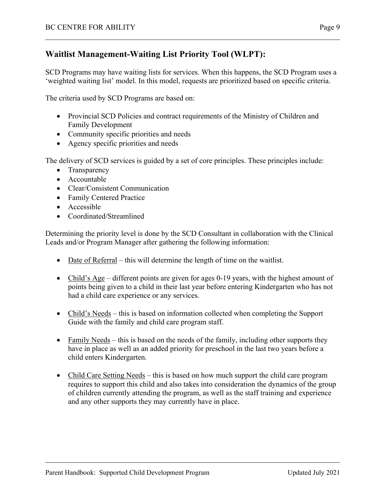### **Waitlist Management-Waiting List Priority Tool (WLPT):**

SCD Programs may have waiting lists for services. When this happens, the SCD Program uses a 'weighted waiting list' model. In this model, requests are prioritized based on specific criteria.

The criteria used by SCD Programs are based on:

- Provincial SCD Policies and contract requirements of the Ministry of Children and Family Development
- Community specific priorities and needs
- Agency specific priorities and needs

The delivery of SCD services is guided by a set of core principles. These principles include:

- Transparency
- Accountable
- Clear/Consistent Communication
- Family Centered Practice
- Accessible
- Coordinated/Streamlined

Determining the priority level is done by the SCD Consultant in collaboration with the Clinical Leads and/or Program Manager after gathering the following information:

- $\bullet$  Date of Referral this will determine the length of time on the waitlist.
- Child's Age different points are given for ages 0-19 years, with the highest amount of points being given to a child in their last year before entering Kindergarten who has not had a child care experience or any services.
- Child's Needs this is based on information collected when completing the Support Guide with the family and child care program staff.
- Family Needs this is based on the needs of the family, including other supports they have in place as well as an added priority for preschool in the last two years before a child enters Kindergarten.
- Child Care Setting Needs this is based on how much support the child care program requires to support this child and also takes into consideration the dynamics of the group of children currently attending the program, as well as the staff training and experience and any other supports they may currently have in place.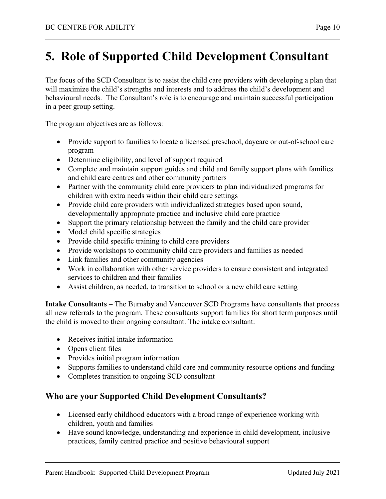# **5. Role of Supported Child Development Consultant**

The focus of the SCD Consultant is to assist the child care providers with developing a plan that will maximize the child's strengths and interests and to address the child's development and behavioural needs. The Consultant's role is to encourage and maintain successful participation in a peer group setting.

The program objectives are as follows:

- Provide support to families to locate a licensed preschool, daycare or out-of-school care program
- Determine eligibility, and level of support required
- Complete and maintain support guides and child and family support plans with families and child care centres and other community partners
- Partner with the community child care providers to plan individualized programs for children with extra needs within their child care settings
- Provide child care providers with individualized strategies based upon sound, developmentally appropriate practice and inclusive child care practice
- Support the primary relationship between the family and the child care provider
- Model child specific strategies
- Provide child specific training to child care providers
- Provide workshops to community child care providers and families as needed
- Link families and other community agencies
- Work in collaboration with other service providers to ensure consistent and integrated services to children and their families
- Assist children, as needed, to transition to school or a new child care setting

**Intake Consultants –** The Burnaby and Vancouver SCD Programs have consultants that process all new referrals to the program. These consultants support families for short term purposes until the child is moved to their ongoing consultant. The intake consultant:

- Receives initial intake information
- Opens client files
- Provides initial program information
- Supports families to understand child care and community resource options and funding
- Completes transition to ongoing SCD consultant

### **Who are your Supported Child Development Consultants?**

- Licensed early childhood educators with a broad range of experience working with children, youth and families
- Have sound knowledge, understanding and experience in child development, inclusive practices, family centred practice and positive behavioural support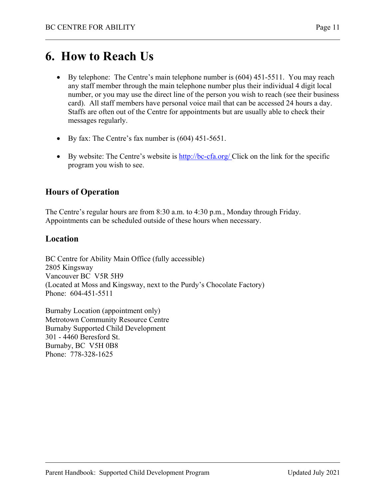# **6. How to Reach Us**

- By telephone: The Centre's main telephone number is (604) 451-5511. You may reach any staff member through the main telephone number plus their individual 4 digit local number, or you may use the direct line of the person you wish to reach (see their business card). All staff members have personal voice mail that can be accessed 24 hours a day. Staffs are often out of the Centre for appointments but are usually able to check their messages regularly.
- By fax: The Centre's fax number is (604) 451-5651.
- By website: The Centre's website is  $\frac{http://bc-cfa.org/}$  Click on the link for the specific program you wish to see.

## **Hours of Operation**

The Centre's regular hours are from 8:30 a.m. to 4:30 p.m., Monday through Friday. Appointments can be scheduled outside of these hours when necessary.

### **Location**

BC Centre for Ability Main Office (fully accessible) 2805 Kingsway Vancouver BC V5R 5H9 (Located at Moss and Kingsway, next to the Purdy's Chocolate Factory) Phone: 604-451-5511

Burnaby Location (appointment only) Metrotown Community Resource Centre Burnaby Supported Child Development 301 - 4460 Beresford St. Burnaby, BC V5H 0B8 Phone: 778-328-1625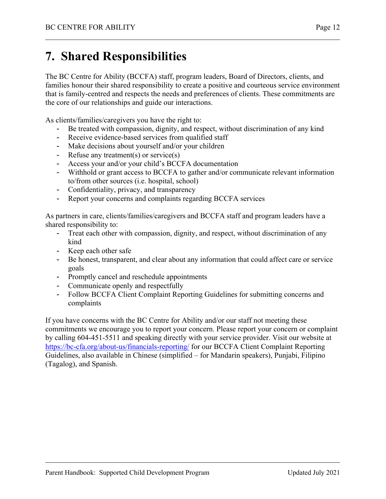# **7. Shared Responsibilities**

The BC Centre for Ability (BCCFA) staff, program leaders, Board of Directors, clients, and families honour their shared responsibility to create a positive and courteous service environment that is family-centred and respects the needs and preferences of clients. These commitments are the core of our relationships and guide our interactions.

As clients/families/caregivers you have the right to:

- Be treated with compassion, dignity, and respect, without discrimination of any kind
- Receive evidence-based services from qualified staff
- Make decisions about yourself and/or your children
- Refuse any treatment(s) or service(s)
- Access your and/or your child's BCCFA documentation
- Withhold or grant access to BCCFA to gather and/or communicate relevant information to/from other sources (i.e. hospital, school)
- Confidentiality, privacy, and transparency
- Report your concerns and complaints regarding BCCFA services

As partners in care, clients/families/caregivers and BCCFA staff and program leaders have a shared responsibility to:

- Treat each other with compassion, dignity, and respect, without discrimination of any kind
- Keep each other safe
- Be honest, transparent, and clear about any information that could affect care or service goals
- Promptly cancel and reschedule appointments
- Communicate openly and respectfully
- Follow BCCFA Client Complaint Reporting Guidelines for submitting concerns and complaints

If you have concerns with the BC Centre for Ability and/or our staff not meeting these commitments we encourage you to report your concern. Please report your concern or complaint by calling 604-451-5511 and speaking directly with your service provider. Visit our website at https://bc-cfa.org/about-us/financials-reporting/ for our BCCFA Client Complaint Reporting Guidelines, also available in Chinese (simplified – for Mandarin speakers), Punjabi, Filipino (Tagalog), and Spanish.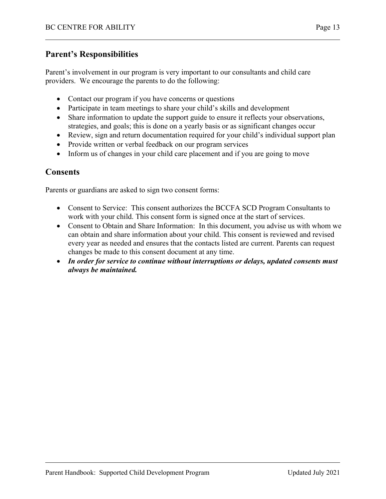### **Parent's Responsibilities**

Parent's involvement in our program is very important to our consultants and child care providers. We encourage the parents to do the following:

- Contact our program if you have concerns or questions
- Participate in team meetings to share your child's skills and development
- Share information to update the support guide to ensure it reflects your observations, strategies, and goals; this is done on a yearly basis or as significant changes occur
- Review, sign and return documentation required for your child's individual support plan
- Provide written or verbal feedback on our program services
- Inform us of changes in your child care placement and if you are going to move

### **Consents**

Parents or guardians are asked to sign two consent forms:

- Consent to Service: This consent authorizes the BCCFA SCD Program Consultants to work with your child. This consent form is signed once at the start of services.
- Consent to Obtain and Share Information: In this document, you advise us with whom we can obtain and share information about your child. This consent is reviewed and revised every year as needed and ensures that the contacts listed are current. Parents can request changes be made to this consent document at any time.
- *In order for service to continue without interruptions or delays, updated consents must always be maintained.*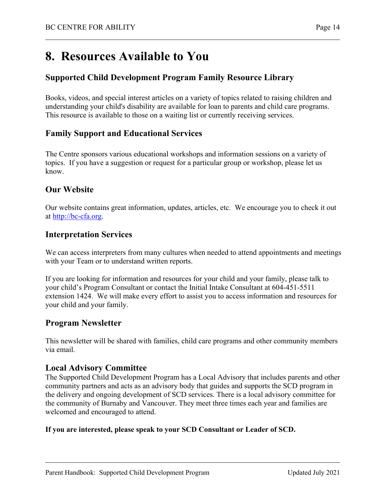# **8. Resources Available to You**

### **Supported Child Development Program Family Resource Library**

Books, videos, and special interest articles on a variety of topics related to raising children and understanding your child's disability are available for loan to parents and child care programs. This resource is available to those on a waiting list or currently receiving services.

### **Family Support and Educational Services**

The Centre sponsors various educational workshops and information sessions on a variety of topics. If you have a suggestion or request for a particular group or workshop, please let us know.

### **Our Website**

Our website contains great information, updates, articles, etc. We encourage you to check it out at http://bc-cfa.org.

### **Interpretation Services**

We can access interpreters from many cultures when needed to attend appointments and meetings with your Team or to understand written reports.

If you are looking for information and resources for your child and your family, please talk to your child's Program Consultant or contact the Initial Intake Consultant at 604-451-5511 extension 1424. We will make every effort to assist you to access information and resources for your child and your family.

### **Program Newsletter**

This newsletter will be shared with families, child care programs and other community members via email.

### **Local Advisory Committee**

The Supported Child Development Program has a Local Advisory that includes parents and other community partners and acts as an advisory body that guides and supports the SCD program in the delivery and ongoing development of SCD services. There is a local advisory committee for the community of Burnaby and Vancouver. They meet three times each year and families are welcomed and encouraged to attend.

#### **If you are interested, please speak to your SCD Consultant or Leader of SCD.**